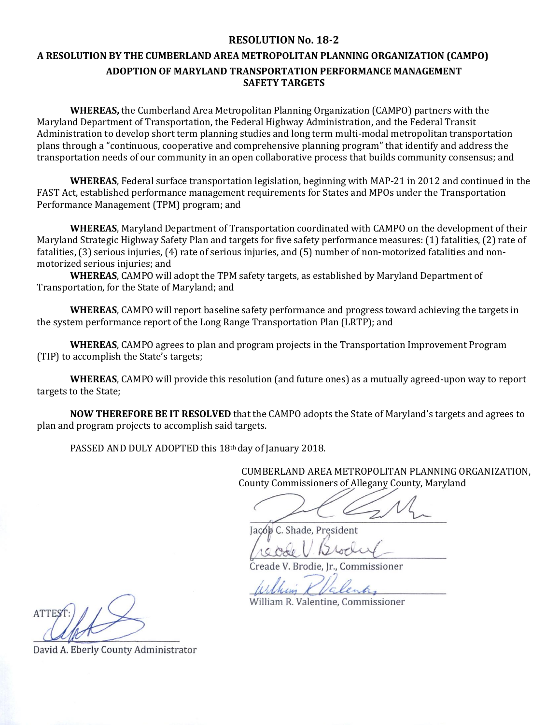## **RESOLUTION No. 18-2**

## **A RESOLUTION BY THE CUMBERLAND AREA METROPOLITAN PLANNING ORGANIZATION (CAMPO) ADOPTION OF MARYLAND TRANSPORTATION PERFORMANCE MANAGEMENT SAFETY TARGETS**

**WHEREAS,** the Cumberland Area Metropolitan Planning Organization (CAMPO) partners with the Maryland Department of Transportation, the Federal Highway Administration, and the Federal Transit Administration to develop short term planning studies and long term multi-modal metropolitan transportation plans through a "continuous, cooperative and comprehensive planning program" that identify and address the transportation needs of our community in an open collaborative process that builds community consensus; and

**WHEREAS**, Federal surface transportation legislation, beginning with MAP-21 in 2012 and continued in the FAST Act, established performance management requirements for States and MPOs under the Transportation Performance Management (TPM) program; and

**WHEREAS**, Maryland Department of Transportation coordinated with CAMPO on the development of their Maryland Strategic Highway Safety Plan and targets for five safety performance measures: (1) fatalities, (2) rate of fatalities, (3) serious injuries, (4) rate of serious injuries, and (5) number of non-motorized fatalities and nonmotorized serious injuries; and

**WHEREAS**, CAMPO will adopt the TPM safety targets, as established by Maryland Department of Transportation, for the State of Maryland; and

**WHEREAS**, CAMPO will report baseline safety performance and progress toward achieving the targets in the system performance report of the Long Range Transportation Plan (LRTP); and

**WHEREAS**, CAMPO agrees to plan and program projects in the Transportation Improvement Program (TIP) to accomplish the State's targets;

**WHEREAS**, CAMPO will provide this resolution (and future ones) as a mutually agreed-upon way to report targets to the State;

**NOW THEREFORE BE IT RESOLVED** that the CAMPO adopts the State of Maryland's targets and agrees to plan and program projects to accomplish said targets.

PASSED AND DULY ADOPTED this 18th day of January 2018.

CUMBERLAND AREA METROPOLITAN PLANNING ORGANIZATION, County Commissioners of Allegany County, Maryland

Jacób C. Shade, President

Creade V. Brodie, Ir., Commissioner

William R. Valentine, Commissioner

David A. Eberly County Administrator